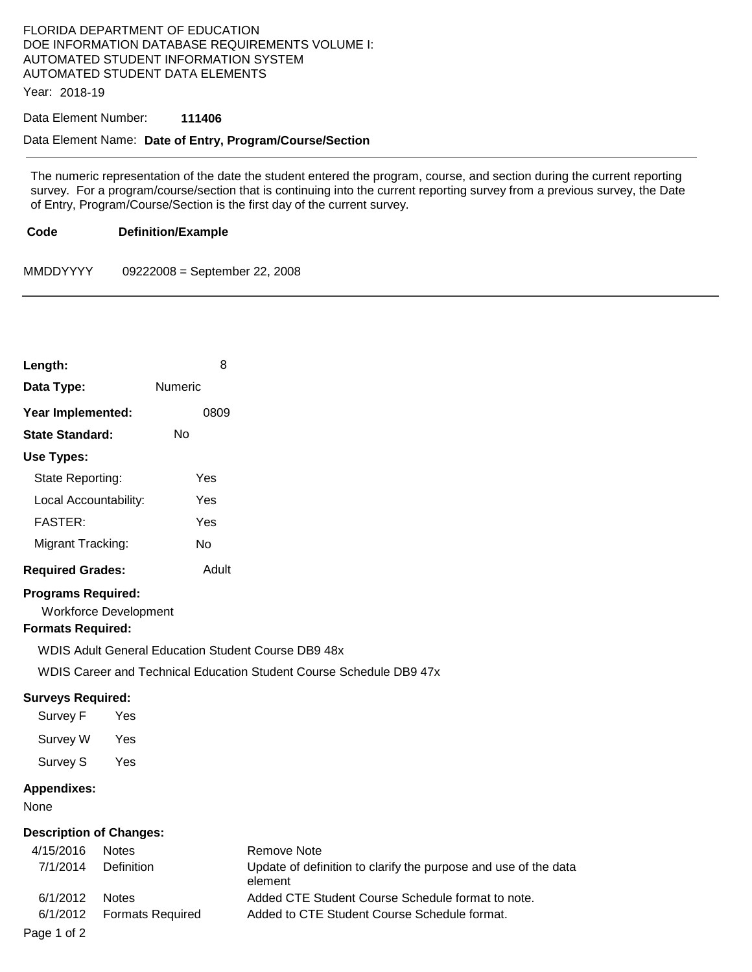# FLORIDA DEPARTMENT OF EDUCATION DOE INFORMATION DATABASE REQUIREMENTS VOLUME I: AUTOMATED STUDENT INFORMATION SYSTEM AUTOMATED STUDENT DATA ELEMENTS

Year: 2018-19

### Data Element Number: **111406**

## Data Element Name: **Date of Entry, Program/Course/Section**

The numeric representation of the date the student entered the program, course, and section during the current reporting survey. For a program/course/section that is continuing into the current reporting survey from a previous survey, the Date of Entry, Program/Course/Section is the first day of the current survey.

#### **Code Definition/Example**

MMDDYYYY 09222008 = September 22, 2008

| Length:                                                      |                                   | 8         |                                                                                                                                   |
|--------------------------------------------------------------|-----------------------------------|-----------|-----------------------------------------------------------------------------------------------------------------------------------|
| Data Type:                                                   |                                   | Numeric   |                                                                                                                                   |
| Year Implemented:                                            |                                   | 0809      |                                                                                                                                   |
| <b>State Standard:</b>                                       |                                   | <b>No</b> |                                                                                                                                   |
| Use Types:                                                   |                                   |           |                                                                                                                                   |
| State Reporting:                                             |                                   | Yes       |                                                                                                                                   |
| Local Accountability:                                        |                                   | Yes       |                                                                                                                                   |
| <b>FASTER:</b>                                               |                                   | Yes       |                                                                                                                                   |
| Migrant Tracking:                                            |                                   | No        |                                                                                                                                   |
| <b>Required Grades:</b>                                      |                                   | Adult     |                                                                                                                                   |
| <b>Programs Required:</b><br><b>Formats Required:</b>        | <b>Workforce Development</b>      |           | <b>WDIS Adult General Education Student Course DB9 48x</b><br>WDIS Career and Technical Education Student Course Schedule DB9 47x |
| <b>Surveys Required:</b><br>Survey F<br>Survey W<br>Survey S | Yes<br>Yes<br>Yes                 |           |                                                                                                                                   |
| <b>Appendixes:</b><br>None                                   |                                   |           |                                                                                                                                   |
| <b>Description of Changes:</b>                               |                                   |           |                                                                                                                                   |
| 4/15/2016<br>7/1/2014                                        | <b>Notes</b><br><b>Definition</b> |           | <b>Remove Note</b><br>Update of definition to clarify the pur<br>element                                                          |
| 6/1/2012                                                     | <b>Notes</b>                      |           | Added CTF Student Course Schedu                                                                                                   |

definition to clarify the purpose and use of the data **E Student Course Schedule format to note.** 6/1/2012 Formats Required Added to CTE Student Course Schedule format.

Page 1 of 2